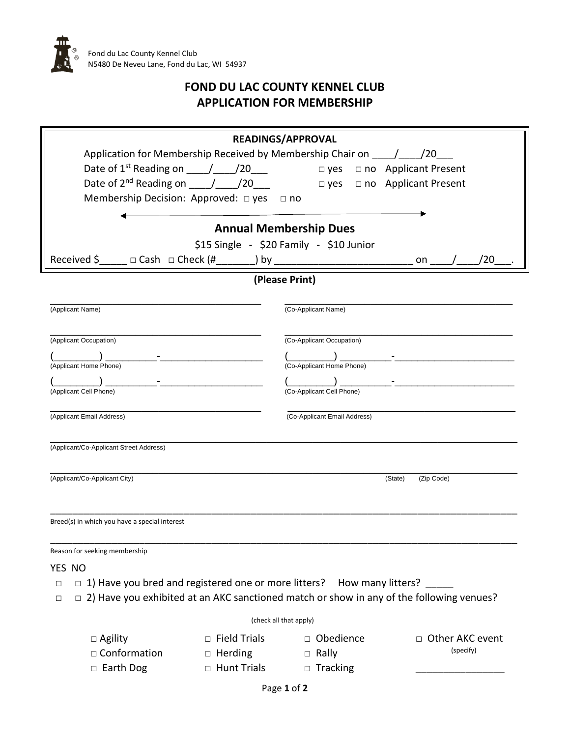

## **FOND DU LAC COUNTY KENNEL CLUB APPLICATION FOR MEMBERSHIP**

| <b>READINGS/APPROVAL</b>                                                                                                                                                                                                                                                         |  |
|----------------------------------------------------------------------------------------------------------------------------------------------------------------------------------------------------------------------------------------------------------------------------------|--|
| Application for Membership Received by Membership Chair on / / 20                                                                                                                                                                                                                |  |
| Date of $1^{st}$ Reading on $\qquad$ / 20<br>□ no Applicant Present<br>$\square$ yes                                                                                                                                                                                             |  |
| Date of $2^{nd}$ Reading on $\frac{1}{20}$ / 20<br>$\Box$ no Applicant Present<br>$\Box$ yes                                                                                                                                                                                     |  |
| Membership Decision: Approved: $\Box$ yes $\Box$ no                                                                                                                                                                                                                              |  |
|                                                                                                                                                                                                                                                                                  |  |
| <b>Annual Membership Dues</b>                                                                                                                                                                                                                                                    |  |
| \$15 Single - \$20 Family - \$10 Junior                                                                                                                                                                                                                                          |  |
| Received \$<br>′20<br>on                                                                                                                                                                                                                                                         |  |
| (Please Print)                                                                                                                                                                                                                                                                   |  |
| (Applicant Name)<br>(Co-Applicant Name)                                                                                                                                                                                                                                          |  |
|                                                                                                                                                                                                                                                                                  |  |
| (Applicant Occupation)<br>(Co-Applicant Occupation)                                                                                                                                                                                                                              |  |
| the contract of the contract of the contract of<br>the company of the company of the company of the company of the company of the company of the company of the company of the company of the company of the company of the company of the company of the company of the company |  |
| (Applicant Home Phone)<br>(Co-Applicant Home Phone)                                                                                                                                                                                                                              |  |
| (Applicant Cell Phone)<br>(Co-Applicant Cell Phone)                                                                                                                                                                                                                              |  |
|                                                                                                                                                                                                                                                                                  |  |
| (Co-Applicant Email Address)<br>(Applicant Email Address)                                                                                                                                                                                                                        |  |
|                                                                                                                                                                                                                                                                                  |  |
| (Applicant/Co-Applicant Street Address)                                                                                                                                                                                                                                          |  |
|                                                                                                                                                                                                                                                                                  |  |
| (Applicant/Co-Applicant City)<br>(Zip Code)<br>(State)                                                                                                                                                                                                                           |  |
|                                                                                                                                                                                                                                                                                  |  |
|                                                                                                                                                                                                                                                                                  |  |
| Breed(s) in which you have a special interest                                                                                                                                                                                                                                    |  |
| Reason for seeking membership                                                                                                                                                                                                                                                    |  |
| YES NO                                                                                                                                                                                                                                                                           |  |
| $\Box$ 1) Have you bred and registered one or more litters? How many litters?<br>$\Box$                                                                                                                                                                                          |  |
| $\Box$ 2) Have you exhibited at an AKC sanctioned match or show in any of the following venues?<br>$\Box$                                                                                                                                                                        |  |
| (check all that apply)                                                                                                                                                                                                                                                           |  |
| <b>Field Trials</b><br>□ Obedience<br>$\Box$ Agility<br>□ Other AKC event<br>$\Box$                                                                                                                                                                                              |  |
| (specify)<br>□ Conformation<br>$\Box$ Herding<br>$\Box$ Rally                                                                                                                                                                                                                    |  |
| □ Hunt Trials<br>□ Earth Dog<br>$\Box$ Tracking                                                                                                                                                                                                                                  |  |